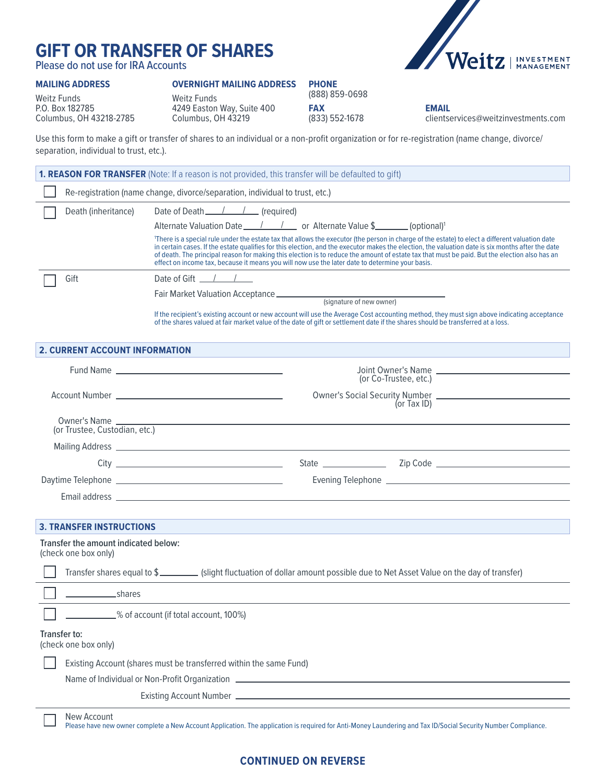# **GIFT OR TRANSFER OF SHARES**

Please do not use for IRA Accounts

### **MAILING ADDRESS**

L ┚ **OVERNIGHT MAILING ADDRESS**



Weitz Funds P.O. Box 182785 Columbus, OH 43218-2785 Weitz Funds 4249 Easton Way, Suite 400 Columbus, OH 43219

**PHONE** (888) 859-0698 **FAX** (833) 552-1678

**EMAIL** clientservices@weitzinvestments.com

Use this form to make a gift or transfer of shares to an individual or a non-profit organization or for re-registration (name change, divorce/ separation, individual to trust, etc.).

|                                                              | <b>1. REASON FOR TRANSFER</b> (Note: If a reason is not provided, this transfer will be defaulted to gift)                                                                                                                                                                                                                                                                                                                                                                                                                                              |  |  |  |  |
|--------------------------------------------------------------|---------------------------------------------------------------------------------------------------------------------------------------------------------------------------------------------------------------------------------------------------------------------------------------------------------------------------------------------------------------------------------------------------------------------------------------------------------------------------------------------------------------------------------------------------------|--|--|--|--|
|                                                              | Re-registration (name change, divorce/separation, individual to trust, etc.)                                                                                                                                                                                                                                                                                                                                                                                                                                                                            |  |  |  |  |
| Death (inheritance)                                          | Date of Death $\angle$ / $\angle$ (required)                                                                                                                                                                                                                                                                                                                                                                                                                                                                                                            |  |  |  |  |
|                                                              | Alternate Valuation Date ______/__________ or Alternate Value \$_________ (optional) <sup>1</sup>                                                                                                                                                                                                                                                                                                                                                                                                                                                       |  |  |  |  |
|                                                              | There is a special rule under the estate tax that allows the executor (the person in charge of the estate) to elect a different valuation date<br>in certain cases. If the estate qualifies for this election, and the executor makes the election, the valuation date is six months after the date<br>of death. The principal reason for making this election is to reduce the amount of estate tax that must be paid. But the election also has an<br>effect on income tax, because it means you will now use the later date to determine your basis. |  |  |  |  |
| Gift                                                         | Date of Gift $\frac{1}{\sqrt{2}}$                                                                                                                                                                                                                                                                                                                                                                                                                                                                                                                       |  |  |  |  |
|                                                              | Fair Market Valuation Acceptance (signature of new owner)                                                                                                                                                                                                                                                                                                                                                                                                                                                                                               |  |  |  |  |
|                                                              | If the recipient's existing account or new account will use the Average Cost accounting method, they must sign above indicating acceptance<br>of the shares valued at fair market value of the date of gift or settlement date if the shares should be transferred at a loss.                                                                                                                                                                                                                                                                           |  |  |  |  |
| <b>2. CURRENT ACCOUNT INFORMATION</b>                        |                                                                                                                                                                                                                                                                                                                                                                                                                                                                                                                                                         |  |  |  |  |
|                                                              |                                                                                                                                                                                                                                                                                                                                                                                                                                                                                                                                                         |  |  |  |  |
|                                                              | (or Co-Trustee, etc.)                                                                                                                                                                                                                                                                                                                                                                                                                                                                                                                                   |  |  |  |  |
|                                                              | Owner's Social Security Number<br>(or Tax ID)                                                                                                                                                                                                                                                                                                                                                                                                                                                                                                           |  |  |  |  |
|                                                              |                                                                                                                                                                                                                                                                                                                                                                                                                                                                                                                                                         |  |  |  |  |
|                                                              | Owner's Name<br>(or Trustee, Custodian, etc.)                                                                                                                                                                                                                                                                                                                                                                                                                                                                                                           |  |  |  |  |
|                                                              |                                                                                                                                                                                                                                                                                                                                                                                                                                                                                                                                                         |  |  |  |  |
|                                                              |                                                                                                                                                                                                                                                                                                                                                                                                                                                                                                                                                         |  |  |  |  |
|                                                              |                                                                                                                                                                                                                                                                                                                                                                                                                                                                                                                                                         |  |  |  |  |
|                                                              |                                                                                                                                                                                                                                                                                                                                                                                                                                                                                                                                                         |  |  |  |  |
|                                                              |                                                                                                                                                                                                                                                                                                                                                                                                                                                                                                                                                         |  |  |  |  |
| <b>3. TRANSFER INSTRUCTIONS</b>                              |                                                                                                                                                                                                                                                                                                                                                                                                                                                                                                                                                         |  |  |  |  |
| Transfer the amount indicated below:<br>(check one box only) |                                                                                                                                                                                                                                                                                                                                                                                                                                                                                                                                                         |  |  |  |  |
|                                                              | Transfer shares equal to \$<br>[slight fluctuation of dollar amount possible due to Net Asset Value on the day of transfer)                                                                                                                                                                                                                                                                                                                                                                                                                             |  |  |  |  |
| shares                                                       |                                                                                                                                                                                                                                                                                                                                                                                                                                                                                                                                                         |  |  |  |  |
|                                                              | 60% 6 Secount (if total account, 100%)                                                                                                                                                                                                                                                                                                                                                                                                                                                                                                                  |  |  |  |  |
| Transfer to:<br>(check one box only)                         |                                                                                                                                                                                                                                                                                                                                                                                                                                                                                                                                                         |  |  |  |  |
|                                                              | Existing Account (shares must be transferred within the same Fund)                                                                                                                                                                                                                                                                                                                                                                                                                                                                                      |  |  |  |  |
|                                                              | Name of Individual or Non-Profit Organization __________________________________                                                                                                                                                                                                                                                                                                                                                                                                                                                                        |  |  |  |  |
|                                                              |                                                                                                                                                                                                                                                                                                                                                                                                                                                                                                                                                         |  |  |  |  |
| New Account                                                  |                                                                                                                                                                                                                                                                                                                                                                                                                                                                                                                                                         |  |  |  |  |

## **CONTINUED ON REVERSE**

Please have new owner complete a New Account Application. The application is required for Anti-Money Laundering and Tax ID/Social Security Number Compliance.